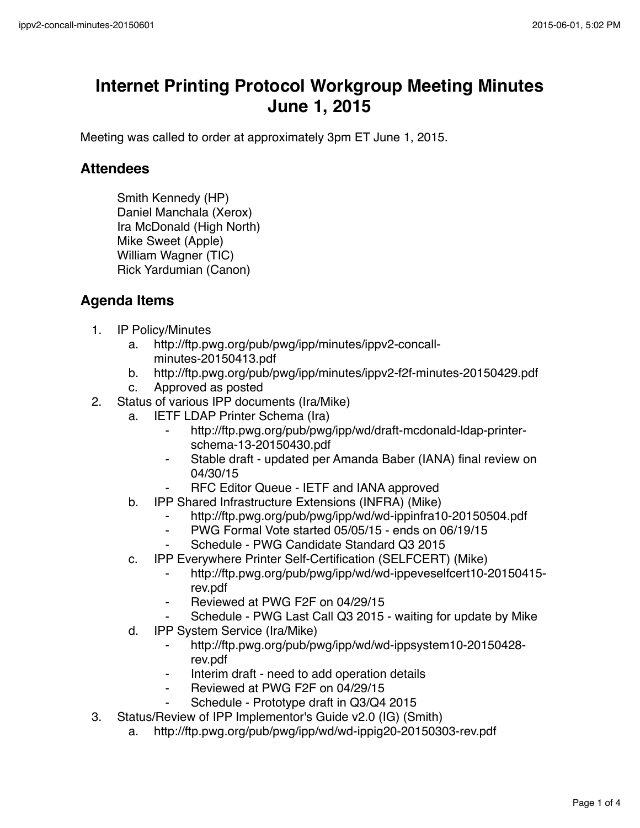## **Internet Printing Protocol Workgroup Meeting Minutes June 1, 2015**

Meeting was called to order at approximately 3pm ET June 1, 2015.

## **Attendees**

Smith Kennedy (HP) Daniel Manchala (Xerox) Ira McDonald (High North) Mike Sweet (Apple) William Wagner (TIC) Rick Yardumian (Canon)

## **Agenda Items**

- 1. IP Policy/Minutes
	- a. http://ftp.pwg.org/pub/pwg/ipp/minutes/ippv2-concallminutes-20150413.pdf
	- b. http://ftp.pwg.org/pub/pwg/ipp/minutes/ippv2-f2f-minutes-20150429.pdf
	- c. Approved as posted
- 2. Status of various IPP documents (Ira/Mike)
	- a. IETF LDAP Printer Schema (Ira)
		- http://ftp.pwg.org/pub/pwg/ipp/wd/draft-mcdonald-ldap-printerschema-13-20150430.pdf
		- ⁃ Stable draft updated per Amanda Baber (IANA) final review on 04/30/15
			- RFC Editor Queue IETF and IANA approved
	- b. IPP Shared Infrastructure Extensions (INFRA) (Mike)
		- http://ftp.pwg.org/pub/pwg/ipp/wd/wd-ippinfra10-20150504.pdf
		- ⁃ PWG Formal Vote started 05/05/15 ends on 06/19/15
		- Schedule PWG Candidate Standard Q3 2015
	- c. IPP Everywhere Printer Self-Certification (SELFCERT) (Mike)
		- ⁃ http://ftp.pwg.org/pub/pwg/ipp/wd/wd-ippeveselfcert10-20150415 rev.pdf
		- ⁃ Reviewed at PWG F2F on 04/29/15
		- Schedule PWG Last Call Q3 2015 waiting for update by Mike
	- d. IPP System Service (Ira/Mike)
		- ⁃ http://ftp.pwg.org/pub/pwg/ipp/wd/wd-ippsystem10-20150428 rev.pdf
		- Interim draft need to add operation details
		- ⁃ Reviewed at PWG F2F on 04/29/15
		- Schedule Prototype draft in Q3/Q4 2015
- 3. Status/Review of IPP Implementor's Guide v2.0 (IG) (Smith)
	- a. http://ftp.pwg.org/pub/pwg/ipp/wd/wd-ippig20-20150303-rev.pdf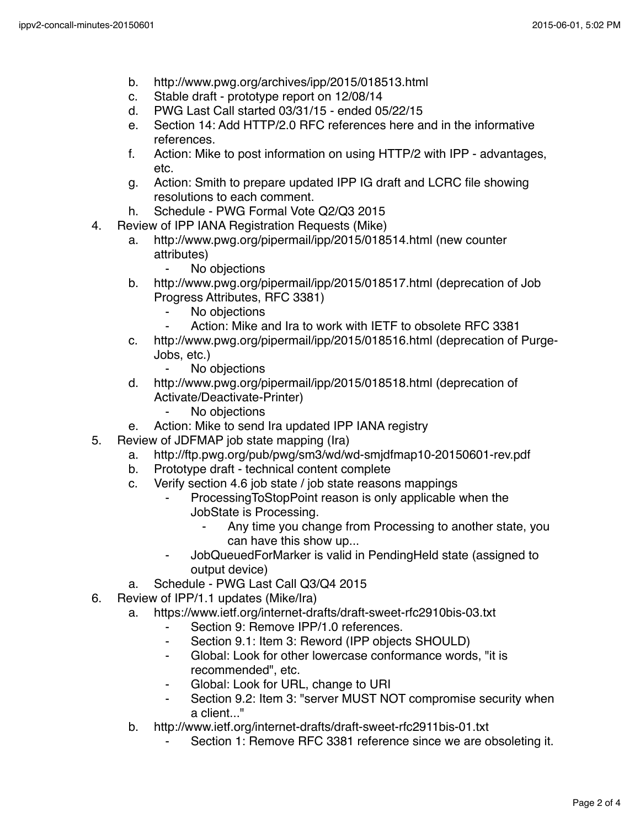- b. http://www.pwg.org/archives/ipp/2015/018513.html
- c. Stable draft prototype report on 12/08/14
- d. PWG Last Call started 03/31/15 ended 05/22/15
- e. Section 14: Add HTTP/2.0 RFC references here and in the informative references.
- f. Action: Mike to post information on using HTTP/2 with IPP advantages, etc.
- g. Action: Smith to prepare updated IPP IG draft and LCRC file showing resolutions to each comment.
- h. Schedule PWG Formal Vote Q2/Q3 2015
- 4. Review of IPP IANA Registration Requests (Mike)
	- a. http://www.pwg.org/pipermail/ipp/2015/018514.html (new counter attributes)
		- ⁃ No objections
	- b. http://www.pwg.org/pipermail/ipp/2015/018517.html (deprecation of Job Progress Attributes, RFC 3381)
		- ⁃ No objections
		- Action: Mike and Ira to work with IETF to obsolete RFC 3381
	- c. http://www.pwg.org/pipermail/ipp/2015/018516.html (deprecation of Purge-Jobs, etc.)
		- ⁃ No objections
	- d. http://www.pwg.org/pipermail/ipp/2015/018518.html (deprecation of Activate/Deactivate-Printer)
		- ⁃ No objections
	- e. Action: Mike to send Ira updated IPP IANA registry
- 5. Review of JDFMAP job state mapping (Ira)
	- a. http://ftp.pwg.org/pub/pwg/sm3/wd/wd-smjdfmap10-20150601-rev.pdf
	- b. Prototype draft technical content complete
	- c. Verify section 4.6 job state / job state reasons mappings
		- ProcessingToStopPoint reason is only applicable when the JobState is Processing.
			- Any time you change from Processing to another state, you can have this show up...
		- JobQueuedForMarker is valid in PendingHeld state (assigned to output device)
	- a. Schedule PWG Last Call Q3/Q4 2015
- 6. Review of IPP/1.1 updates (Mike/Ira)
	- a. https://www.ietf.org/internet-drafts/draft-sweet-rfc2910bis-03.txt
		- ⁃ Section 9: Remove IPP/1.0 references.
		- ⁃ Section 9.1: Item 3: Reword (IPP objects SHOULD)
		- ⁃ Global: Look for other lowercase conformance words, "it is recommended", etc.
		- Global: Look for URL, change to URI
		- ⁃ Section 9.2: Item 3: "server MUST NOT compromise security when a client..."
	- b. http://www.ietf.org/internet-drafts/draft-sweet-rfc2911bis-01.txt
		- Section 1: Remove RFC 3381 reference since we are obsoleting it.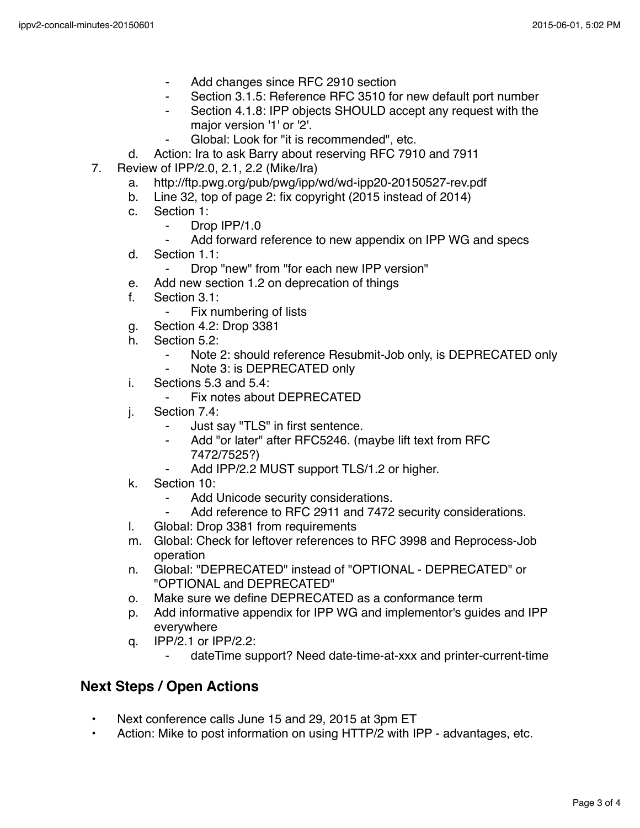- Add changes since RFC 2910 section
- Section 3.1.5: Reference RFC 3510 for new default port number
- Section 4.1.8: IPP objects SHOULD accept any request with the major version '1' or '2'.
	- Global: Look for "it is recommended", etc.
- d. Action: Ira to ask Barry about reserving RFC 7910 and 7911
- 7. Review of IPP/2.0, 2.1, 2.2 (Mike/Ira)
	- a. http://ftp.pwg.org/pub/pwg/ipp/wd/wd-ipp20-20150527-rev.pdf
	- b. Line 32, top of page 2: fix copyright (2015 instead of 2014)
	- c. Section 1:
		- ⁃ Drop IPP/1.0
		- Add forward reference to new appendix on IPP WG and specs
	- d. Section 1.1:
		- Drop "new" from "for each new IPP version"
	- e. Add new section 1.2 on deprecation of things
	- f. Section 3.1:
		- ⁃ Fix numbering of lists
	- g. Section 4.2: Drop 3381
	- h. Section 5.2:
		- ⁃ Note 2: should reference Resubmit-Job only, is DEPRECATED only
		- ⁃ Note 3: is DEPRECATED only
	- i. Sections 5.3 and 5.4:
		- Fix notes about DEPRECATED
	- j. Section 7.4:
		- ⁃ Just say "TLS" in first sentence.
		- Add "or later" after RFC5246. (maybe lift text from RFC 7472/7525?)
			- Add IPP/2.2 MUST support TLS/1.2 or higher.
	- k. Section 10:
		- Add Unicode security considerations.
		- ⁃ Add reference to RFC 2911 and 7472 security considerations.
	- l. Global: Drop 3381 from requirements
	- m. Global: Check for leftover references to RFC 3998 and Reprocess-Job operation
	- n. Global: "DEPRECATED" instead of "OPTIONAL DEPRECATED" or "OPTIONAL and DEPRECATED"
	- o. Make sure we define DEPRECATED as a conformance term
	- p. Add informative appendix for IPP WG and implementor's guides and IPP everywhere
	- q. IPP/2.1 or IPP/2.2:
		- dateTime support? Need date-time-at-xxx and printer-current-time

## **Next Steps / Open Actions**

- Next conference calls June 15 and 29, 2015 at 3pm ET
- Action: Mike to post information on using HTTP/2 with IPP advantages, etc.